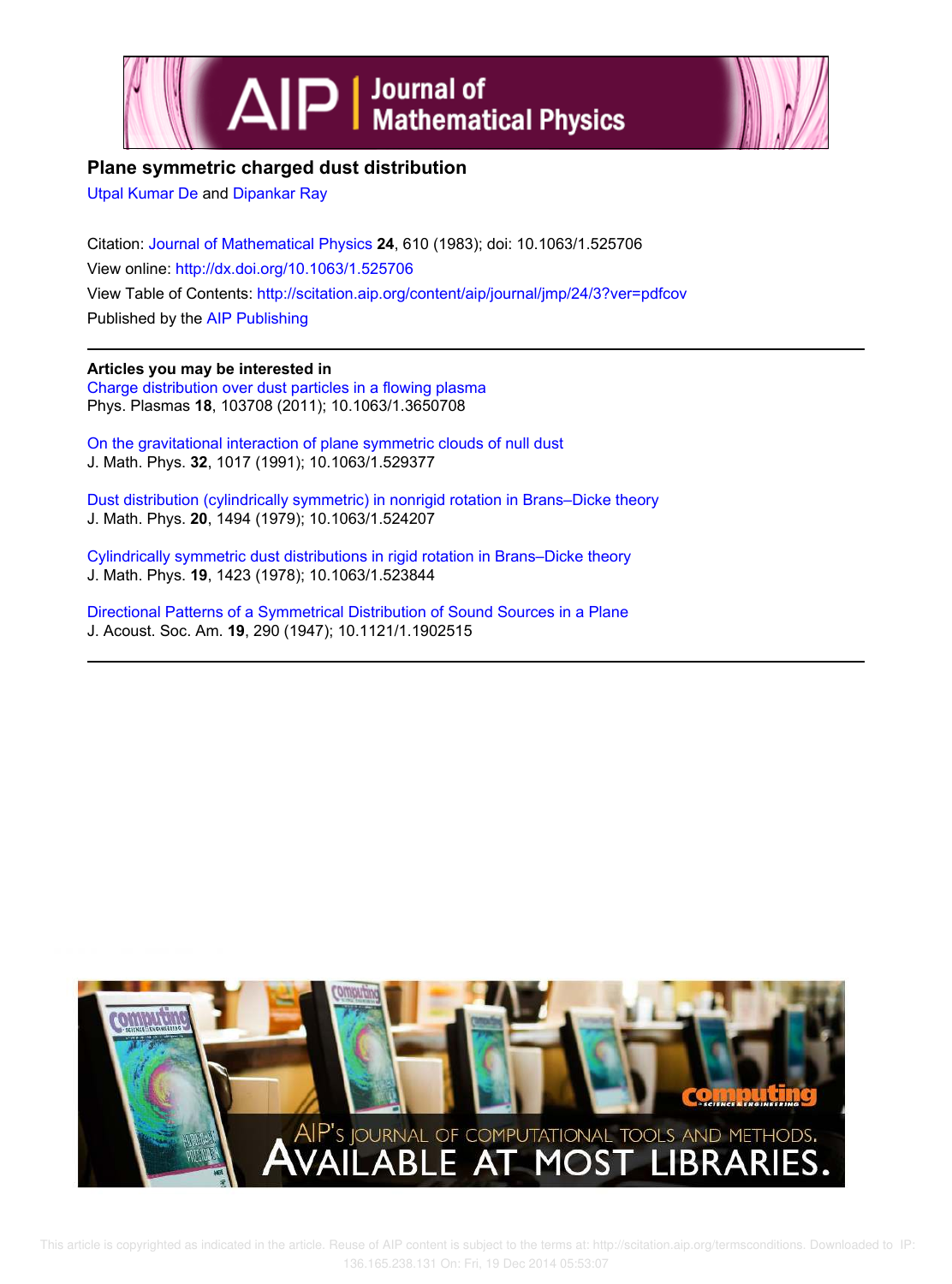



## **Plane symmetric charged dust distribution**

Utpal Kumar De and Dipankar Ray

Citation: Journal of Mathematical Physics **24**, 610 (1983); doi: 10.1063/1.525706 View online: http://dx.doi.org/10.1063/1.525706 View Table of Contents: http://scitation.aip.org/content/aip/journal/jmp/24/3?ver=pdfcov Published by the AIP Publishing

### **Articles you may be interested in**

Charge distribution over dust particles in a flowing plasma Phys. Plasmas **18**, 103708 (2011); 10.1063/1.3650708

On the gravitational interaction of plane symmetric clouds of null dust J. Math. Phys. **32**, 1017 (1991); 10.1063/1.529377

Dust distribution (cylindrically symmetric) in nonrigid rotation in Brans–Dicke theory J. Math. Phys. **20**, 1494 (1979); 10.1063/1.524207

Cylindrically symmetric dust distributions in rigid rotation in Brans–Dicke theory J. Math. Phys. **19**, 1423 (1978); 10.1063/1.523844

Directional Patterns of a Symmetrical Distribution of Sound Sources in a Plane J. Acoust. Soc. Am. **19**, 290 (1947); 10.1121/1.1902515

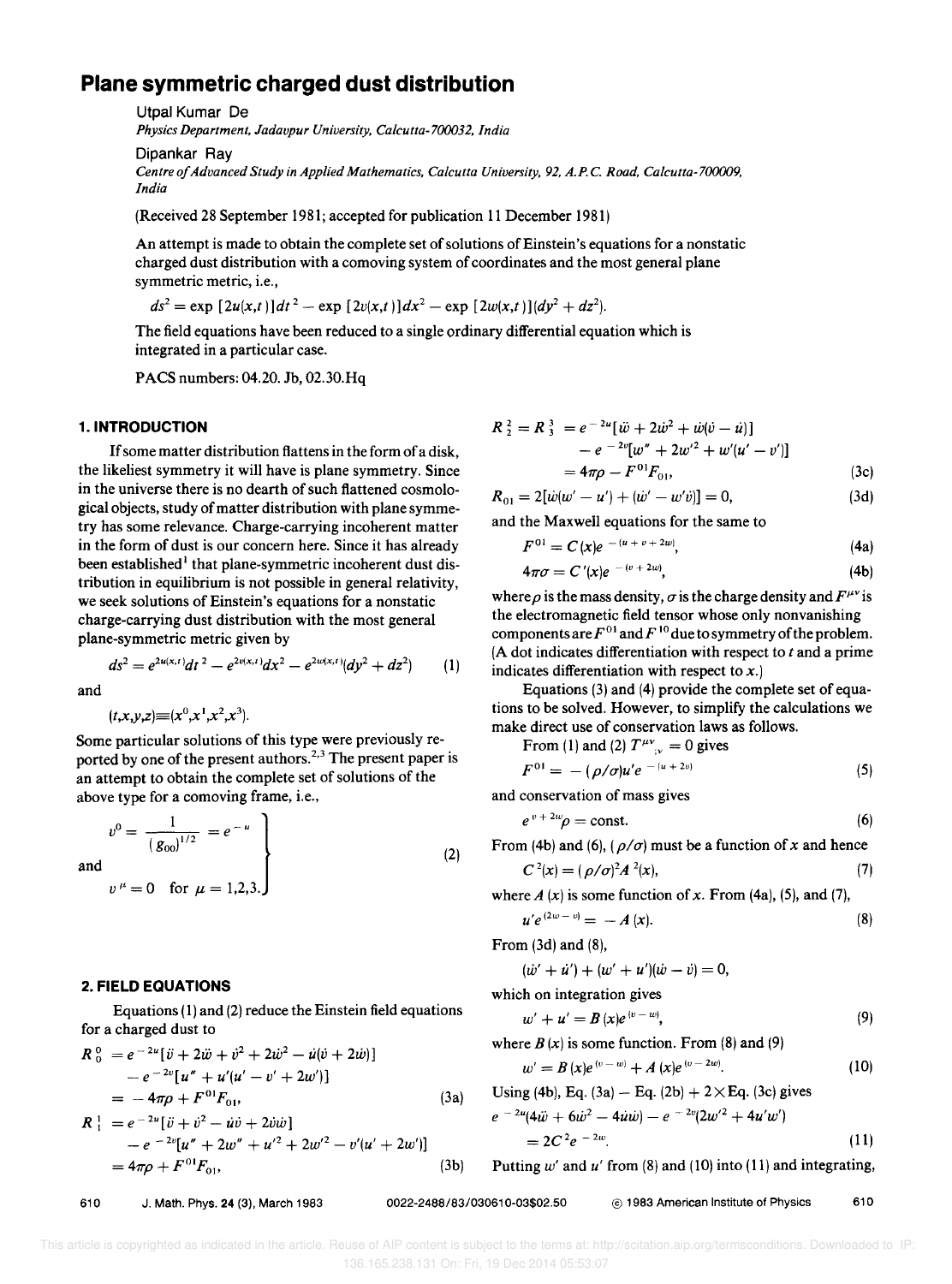# **Plane symmetric charged dust distribution**

Utpal Kumar De *Physics Department, Jadavpur University, Calcutta-700032, India* 

Dipankar Ray

*Centre of Advanced Study in Applied Mathematics, Calcutta University,* 92, *A.P.* C. *Road, Calcutta-700009, India* 

(Received 28 September 1981; accepted for publication 11 December 1981)

An attempt is made to obtain the complete set of solutions of Einstein's equations for a nonstatic charged dust distribution with a comoving system of coordinates and the most general plane symmetric metric, i.e.,

 $ds^2 = \exp \left[2u(x,t)\right]dt^2 - \exp \left[2v(x,t)\right]dx^2 - \exp \left[2w(x,t)\right](dy^2 + dz^2).$ 

The field equations have been reduced to a single ordinary differential equation which is integrated in a particular case.

PACS numbers: 04.20. Jb, 02.30.Hq

#### 1. **INTRODUCTION**

If some matter distribution flattens in the form of a disk, the likeliest symmetry it will have is plane symmetry. Since in the universe there is no dearth of such flattened cosmological objects, study of matter distribution with plane symmetry has some relevance. Charge-carrying incoherent matter in the form of dust is our concern here. Since it has already been established<sup>1</sup> that plane-symmetric incoherent dust distribution in equilibrium is not possible in general relativity, we seek solutions of Einstein's equations for a nonstatic charge-carrying dust distribution with the most general plane-symmetric metric given by

$$
ds^{2} = e^{2u(x,t)}dt^{2} - e^{2v(x,t)}dx^{2} - e^{2w(x,t)}(dy^{2} + dz^{2})
$$
 (1)

and

 $(t, x, y, z) \equiv (x^0, x^1, x^2, x^3).$ 

Some particular solutions of this type were previously reported by one of the present authors.<sup>2,3</sup> The present paper is an attempt to obtain the complete set of solutions of the above type for a comoving frame, i.e.,

$$
v^{0} = \frac{1}{(g_{00})^{1/2}} = e^{-u}
$$
  
\n1  
\n
$$
v^{\mu} = 0 \quad \text{for } \mu = 1,2,3.
$$
 (2)

and

### 2. **FIELD EQUATIONS**

Equations (1) and (2) reduce the Einstein field equations for a charged dust to

$$
R_0^0 = e^{-2u} [\ddot{v} + 2\ddot{w} + \dot{v}^2 + 2\dot{w}^2 - \dot{u}(\dot{v} + 2\dot{w})]
$$
  
\n
$$
- e^{-2v} [u'' + u' (u' - v' + 2w')]
$$
  
\n
$$
= -4\pi \rho + F^{01} F_{01},
$$
  
\n
$$
R_1^1 = e^{-2u} [\ddot{v} + \dot{v}^2 - \dot{u}\dot{v} + 2\dot{v}\dot{w}]
$$
  
\n
$$
- e^{-2v} [u'' + 2w'' + u'^2 + 2w'^2 - v'(u' + 2w')]
$$
  
\n
$$
= 4\pi \rho + F^{01} F_{01},
$$
  
\n(3b)

 $= e^{-2u} [\ddot{w} + 2\dot{w}^2 + \dot{w}(\dot{v} - \dot{u})]$  $-e^{-2v}[w'' + 2w'^2 + w'(u'-v')]$  $= 4\pi \rho - F^{01}F_{01}$ (3c)

$$
R_{01} = 2[\dot{w}(w'-u') + (\dot{w}'-w'\dot{v})] = 0, \qquad (3d)
$$

and the Maxwell equations for the same to

$$
F^{01} = C(x)e^{-(u+v+2w)}, \qquad (4a)
$$

$$
4\pi\sigma = C'(x)e^{-(v+2w)},\tag{4b}
$$

where  $\rho$  is the mass density,  $\sigma$  is the charge density and  $F^{\mu\nu}$  is the electromagnetic field tensor whose only nonvanishing components are  $F^{01}$  and  $F^{10}$  due to symmetry of the problem. (A dot indicates differentiation with respect to  $t$  and a prime indicates differentiation with respect to  $x$ .)

Equations (3) and (4) provide the complete set of equations to be solved. However, to simplify the calculations we make direct use of conservation laws as follows. From (1) and (2)  $T^{\mu\nu} = 0$  gives

From (1) and (2) 
$$
T_{y} = 0
$$
 gives  

$$
F^{01} = -(\rho/\sigma)u'e^{-(u+2\nu)}
$$
(5)

and conservation of mass gives

$$
e^{v+2w}\rho = \text{const.}\tag{6}
$$

From (4b) and (6),  $(\rho/\sigma)$  must be a function of x and hence

$$
C^{2}(x) = (\rho/\sigma)^{2} A^{2}(x),
$$
\n(7)

where  $A(x)$  is some function of x. From (4a), (5), and (7),

$$
u'e^{(2w-v)}=-A(x). \qquad (8)
$$

From (3d) and (8),

$$
(\dot{w}' + \dot{u}') + (w' + u')(\dot{w} - \dot{v}) = 0,
$$

which on integration gives

$$
w' + u' = B(x)e^{(v-w)},
$$
 (9)

where  $B(x)$  is some function. From (8) and (9)

$$
w' = B(x)e^{(v-w)} + A(x)e^{(v-2w)}.
$$
 (10)

Using (4b), Eq. (3a) – Eq. (2b) + 2 × Eq. (3c) gives  

$$
e^{-2u}(4\ddot{w} + 6\dot{w}^2 - 4\dot{u}\dot{w}) - e^{-2v}(2w'^2 + 4u'w')
$$

$$
=2C^2e^{-2w}.
$$
 (11)

Putting  $w'$  and  $u'$  from (8) and (10) into (11) and integrating,

610 1983 American Institute of Physics 610 Contract 1983 American Institute of Physics 610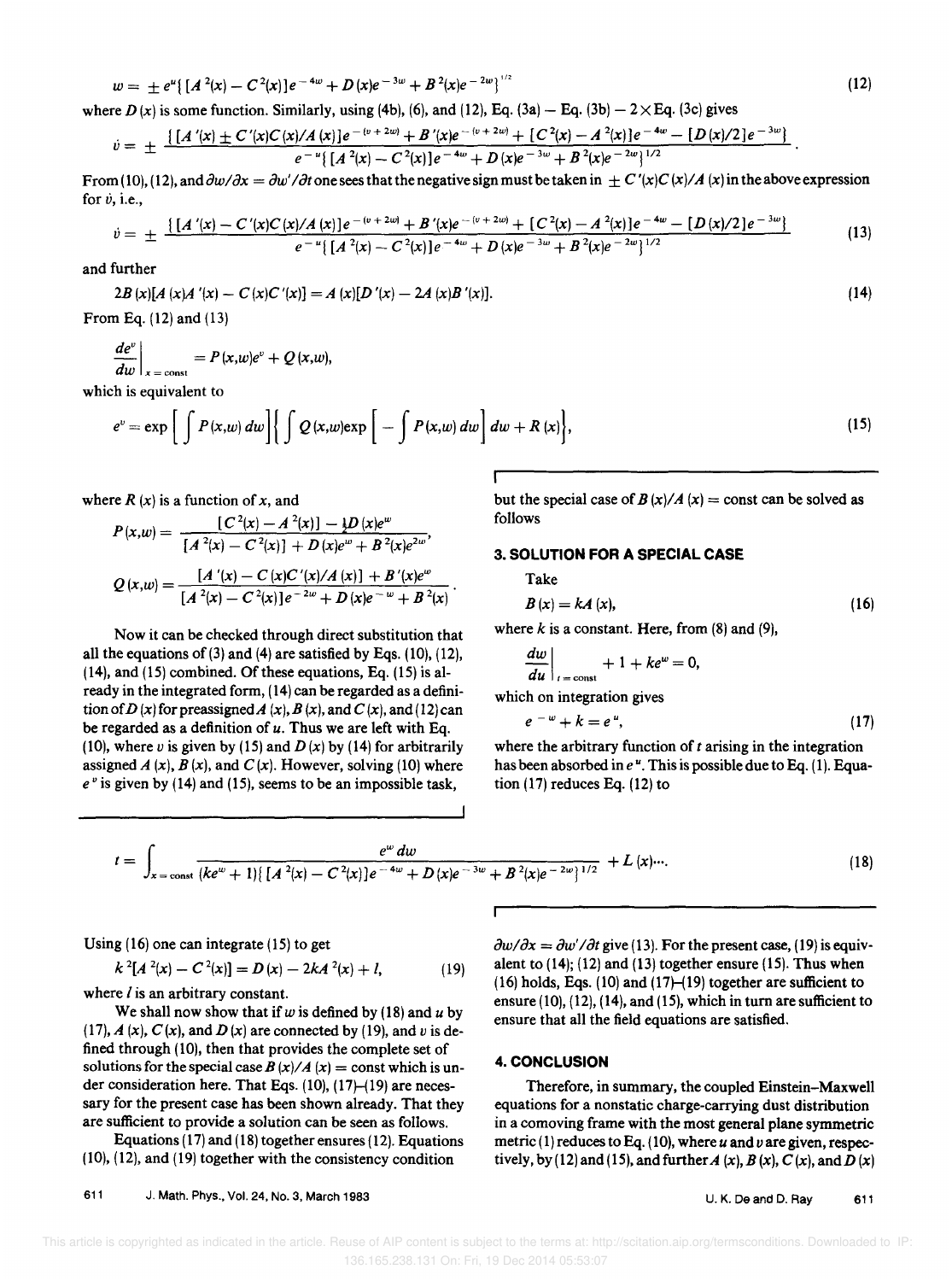$$
P(x, w) = \frac{[C^{2}(x) - A^{2}(x)] - \frac{1}{2}D(x)e^{w}}{[A^{2}(x) - C^{2}(x)] + D(x)e^{w} + B^{2}(x)e^{2w}},
$$
 follows  
3. SOLUTION FOR A SPECIAL CASE

Take

$$
B\left(x\right) = kA\left(x\right),\tag{16}
$$

but the special case of  $B(x)/A(x) =$  const can be solved as

where  $k$  is a constant. Here, from  $(8)$  and  $(9)$ ,

$$
\left.\frac{dw}{du}\right|_{t=\text{const}}+1+ke^w=0,
$$

which on integration gives

$$
e^{-w} + k = e^{u}, \qquad (17)
$$

where the arbitrary function of *t* arising in the integration has been absorbed in  $e^u$ . This is possible due to Eq. (1). Equation (17) reduces Eq. (12) to

611 J. Math. Phys .• Vol. 24, No.3, March 1983 U. K. De and D. Ray 611

 This article is copyrighted as indicated in the article. Reuse of AIP content is subject to the terms at: http://scitation.aip.org/termsconditions. Downloaded to IP: 136.165.238.131 On: Fri, 19 Dec 2014 05:53:07

### $w = \pm e^u \{ [A^2(x) - C^2(x)]e^{-4w} + D(x)e^{-3w} + B^2(x)e^{-2w} \}^{\frac{1}{2}}$  (12)

where  $D(x)$  is some function. Similarly, using (4b), (6), and (12), Eq. (3a) – Eq. (3b) – 2  $\times$  Eq. (3c) gives

$$
\dot{v} = \pm \frac{\left\{ \left[ A\prime(x) \pm C\prime(x)C(x)/A(x) \right] e^{-(v+2w)} + B\prime(x) e^{-(v+2w)} + \left[ C\prime(x) - A\prime(x) \right] e^{-4w} - \left[ D\left(x\right)/2 \right] e^{-3w} \right\} }{e^{-u} \left\{ \left[ A\prime(x) - C\prime(x) \right] e^{-4w} + D\left(x\right) e^{-3w} + B\prime(x) e^{-2w} \right\}^{1/2}}.
$$

From (10), (12), and  $\frac{\partial w}{\partial x} = \frac{\partial w'}{\partial t}$  one sees that the negative sign must be taken in  $+C'(x)C(x)/A(x)$  in the above expression for  $\dot{v}$ , i.e.,

$$
\dot{v} = \pm \frac{\left\{ \left[ A\prime(x) - C\prime(x)C(x)/A(x) \right] e^{-(v+2w)} + B\prime(x) e^{-(v+2w)} + \left[ C\prime(x) - A\prime(x) \right] e^{-4w} - \left[ D\left(x\right)/2 \right] e^{-3w} \right\} e^{-u} \left\{ \left[ A\prime(x) - C\prime(x) \right] e^{-4w} + D\left(x\right) e^{-3w} + B\prime(x) e^{-2w} \right\}^{1/2} \tag{13}
$$

and further

 $2B(x)[A(x)A'(x) - C(x)C'(x)] = A(x)[D'(x) - 2A(x)B'(x)].$  (14)

From Eq. (12) and (13)

$$
\left. \frac{de^v}{dw} \right|_{x = \text{const}} = P(x, w)e^v + Q(x, w),
$$

which is equivalent to

$$
e^{\nu} = \exp\left[\int P(x,\omega)\,d\omega\right] \left\{\int Q(x,\omega) \exp\left[-\int P(x,\omega)\,d\omega\right] d\omega + R(x)\right\},\tag{15}
$$

where 
$$
R(x)
$$
 is a function of  $x$ , and

Using (16) one can integrate (15) to get

where  *is an arbitrary constant.* 

$$
P(x, w) = \frac{[C^{2}(x) - A^{2}(x)] - \frac{1}{2}D(x)e^{w}}{[A^{2}(x) - C^{2}(x)] + D(x)e^{w} + B^{2}(x)e^{2w}},
$$
  

$$
Q(x, w) = \frac{[A^{2}(x) - C(x)C^{2}(x)A(x)] + B^{2}(x)e^{w}}{[A^{2}(x) - C^{2}(x)]e^{-2w} + D(x)e^{-w} + B^{2}(x)}.
$$

Now it can be checked through direct substitution that all the equations of  $(3)$  and  $(4)$  are satisfied by Eqs.  $(10)$ ,  $(12)$ , (14). and (15) combined. Of these equations, Eq. (15) is already in the integrated form, (14) can be regarded as a definition of D (x) for preassigned A (x), B (x), and C (x), and (12) can be regarded as a definition of *u.* Thus we are left with Eq. (10), where v is given by (15) and  $D(x)$  by (14) for arbitrarily assigned  $A(x)$ ,  $B(x)$ , and  $C(x)$ . However, solving (10) where *e v* is given by (14) and (15), seems to be an impossible task,

 $k^{2}[A^{2}(x) - C^{2}(x)] = D(x) - 2kA^{2}(x) + l,$  (19)

 $t = \int_{x = \text{const}} \frac{e^w dw}{(ke^w + 1)[[A^2(x) - C^2(x)]e^{-4w} + D(x)e^{-3w} + B^2(x)e^{-2w}]^{1/2}} + L(x) ...$ 

We shall now show that if  $w$  is defined by (18) and  $u$  by (17),  $A(x)$ ,  $C(x)$ , and  $D(x)$  are connected by (19), and v is defined through (10), then that provides the complete set of solutions for the special case  $B(x)/A(x) = \text{const}$  which is under consideration here. That Eqs.  $(10)$ ,  $(17)$ – $(19)$  are necessary for the present case has been shown already. That they are sufficient to provide a solution can be seen as follows. Equations (17) and (18) together ensures (12). Equations (10), (12), and (19) together with the consistency condition

 $\partial w/\partial x = \partial w'/\partial t$  give (13). For the present case, (19) is equivalent to  $(14)$ ;  $(12)$  and  $(13)$  together ensure  $(15)$ . Thus when  $(16)$  holds, Eqs.  $(10)$  and  $(17)$ – $(19)$  together are sufficient to ensure (10), (12), (14), and (15), which in turn are sufficient to ensure that all the field equations are satisfied.

#### 4. **CONCLUSION**

Therefore, in summary, the coupled Einstein-Maxwell equations for a nonstatic charge-carrying dust distribution in a comoving frame with the most general plane symmetric metric (1) reduces to Eq. (10), where *u* and *u* are given, respectively, by (12) and (15), and further  $A(x)$ ,  $B(x)$ ,  $C(x)$ , and  $D(x)$ 

(18)